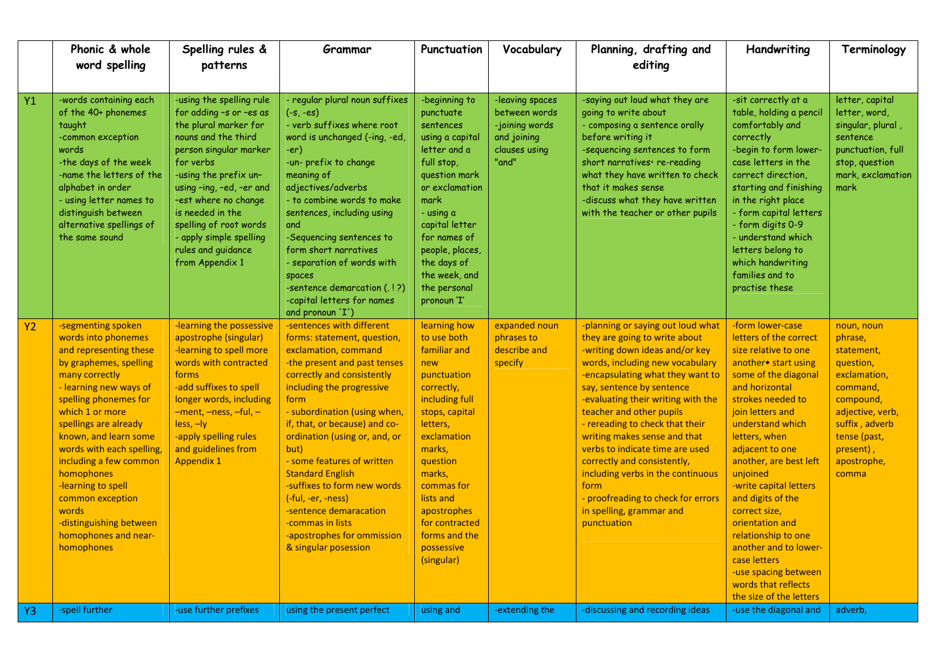|           | Phonic & whole<br>word spelling                                                                                                                                                                                                                                                                                                                                                                                                  | Spelling rules &<br>patterns                                                                                                                                                                                                                                                                                                              | Grammar                                                                                                                                                                                                                                                                                                                                                                                                                                                                                                         | Punctuation                                                                                                                                                                                                                                                                             | Vocabulary                                                                                  | Planning, drafting and<br>editing                                                                                                                                                                                                                                                                                                                                                                                                                                                                                                             | Handwriting                                                                                                                                                                                                                                                                                                                                                                                                                                                                                              | Terminology                                                                                                                                                                          |
|-----------|----------------------------------------------------------------------------------------------------------------------------------------------------------------------------------------------------------------------------------------------------------------------------------------------------------------------------------------------------------------------------------------------------------------------------------|-------------------------------------------------------------------------------------------------------------------------------------------------------------------------------------------------------------------------------------------------------------------------------------------------------------------------------------------|-----------------------------------------------------------------------------------------------------------------------------------------------------------------------------------------------------------------------------------------------------------------------------------------------------------------------------------------------------------------------------------------------------------------------------------------------------------------------------------------------------------------|-----------------------------------------------------------------------------------------------------------------------------------------------------------------------------------------------------------------------------------------------------------------------------------------|---------------------------------------------------------------------------------------------|-----------------------------------------------------------------------------------------------------------------------------------------------------------------------------------------------------------------------------------------------------------------------------------------------------------------------------------------------------------------------------------------------------------------------------------------------------------------------------------------------------------------------------------------------|----------------------------------------------------------------------------------------------------------------------------------------------------------------------------------------------------------------------------------------------------------------------------------------------------------------------------------------------------------------------------------------------------------------------------------------------------------------------------------------------------------|--------------------------------------------------------------------------------------------------------------------------------------------------------------------------------------|
| Y1        | -words containing each<br>of the 40+ phonemes<br>taught<br>-common exception<br>words<br>-the days of the week<br>-name the letters of the<br>alphabet in order<br>- using letter names to<br>distinguish between<br>alternative spellings of<br>the same sound                                                                                                                                                                  | -using the spelling rule<br>for adding -s or -es as<br>the plural marker for<br>nouns and the third<br>person singular marker<br>for verbs<br>-using the prefix un-<br>using -ing, -ed, -er and<br>-est where no change<br>is needed in the<br>spelling of root words<br>- apply simple spelling<br>rules and guidance<br>from Appendix 1 | - regular plural noun suffixes<br>$(-s, -es)$<br>- verb suffixes where root<br>word is unchanged (-ing, -ed,<br>-er)<br>-un- prefix to change<br>meaning of<br>adjectives/adverbs<br>- to combine words to make<br>sentences, including using<br>and<br>-Sequencing sentences to<br>form short narratives<br>- separation of words with<br>spaces<br>-sentence demarcation (.!?)<br>-capital letters for names<br>and pronoun 'I')                                                                              | -beginning to<br>punctuate<br>sentences<br>using a capital<br>letter and a<br>full stop,<br>question mark<br>or exclamation<br>mark<br>- using a<br>capital letter<br>for names of<br>people, places,<br>the days of<br>the week, and<br>the personal<br>pronoun 'I'                    | -leaving spaces<br>between words<br>-joining words<br>and joining<br>clauses using<br>"and" | -saying out loud what they are<br>going to write about<br>- composing a sentence orally<br>before writing it<br>-sequencing sentences to form<br>short narratives · re-reading<br>what they have written to check<br>that it makes sense<br>-discuss what they have written<br>with the teacher or other pupils                                                                                                                                                                                                                               | -sit correctly at a<br>table, holding a pencil<br>comfortably and<br>correctly<br>-begin to form lower-<br>case letters in the<br>correct direction.<br>starting and finishing<br>in the right place<br>- form capital letters<br>- form digits 0-9<br>- understand which<br>letters belong to<br>which handwriting<br>families and to<br>practise these                                                                                                                                                 | letter, capital<br>letter, word,<br>singular, plural,<br>sentence<br>punctuation, full<br>stop, question<br>mark, exclamation<br>mark                                                |
| <b>Y2</b> | -segmenting spoken<br>words into phonemes<br>and representing these<br>by graphemes, spelling<br>many correctly<br>- learning new ways of<br>spelling phonemes for<br>which 1 or more<br>spellings are already<br>known, and learn some<br>words with each spelling,<br>including a few common<br>homophones<br>-learning to spell<br>common exception<br>words<br>-distinguishing between<br>homophones and near-<br>homophones | -learning the possessive<br>apostrophe (singular)<br>-learning to spell more<br>words with contracted<br>forms<br>-add suffixes to spell<br>longer words, including<br>-ment, -ness, -ful, -<br>$less, -ly$<br>-apply spelling rules<br>and guidelines from<br><b>Appendix 1</b>                                                          | -sentences with different<br>forms: statement, question,<br>exclamation, command<br>-the present and past tenses<br>correctly and consistently<br>including the progressive<br>form<br>- subordination (using when,<br>if, that, or because) and co-<br>ordination (using or, and, or<br>but)<br>- some features of written<br><b>Standard English</b><br>-suffixes to form new words<br>(-ful, -er, -ness)<br>-sentence demaracation<br>-commas in lists<br>-apostrophes for ommission<br>& singular posession | learning how<br>to use both<br>familiar and<br>new<br>punctuation<br>correctly,<br>including full<br>stops, capital<br>letters,<br>exclamation<br>marks,<br>question<br>marks,<br>commas for<br>lists and<br>apostrophes<br>for contracted<br>forms and the<br>possessive<br>(singular) | expanded noun<br>phrases to<br>describe and<br>specify                                      | -planning or saying out loud what<br>they are going to write about<br>-writing down ideas and/or key<br>words, including new vocabulary<br>-encapsulating what they want to<br>say, sentence by sentence<br>-evaluating their writing with the<br>teacher and other pupils<br>- rereading to check that their<br>writing makes sense and that<br>verbs to indicate time are used<br>correctly and consistently,<br>including verbs in the continuous<br>form<br>- proofreading to check for errors<br>in spelling, grammar and<br>punctuation | -form lower-case<br>letters of the correct<br>size relative to one<br>another• start using<br>some of the diagonal<br>and horizontal<br>strokes needed to<br>join letters and<br>understand which<br>letters, when<br>adjacent to one<br>another, are best left<br>unjoined<br>-write capital letters<br>and digits of the<br>correct size,<br>orientation and<br>relationship to one<br>another and to lower-<br>case letters<br>-use spacing between<br>words that reflects<br>the size of the letters | noun, noun<br>phrase,<br>statement,<br>question,<br>exclamation,<br>command,<br>compound,<br>adjective, verb,<br>suffix, adverb<br>tense (past,<br>present),<br>apostrophe,<br>comma |
| Y3        | -spell further                                                                                                                                                                                                                                                                                                                                                                                                                   | -use further prefixes                                                                                                                                                                                                                                                                                                                     | using the present perfect                                                                                                                                                                                                                                                                                                                                                                                                                                                                                       | using and                                                                                                                                                                                                                                                                               | -extending the                                                                              | -discussing and recording ideas                                                                                                                                                                                                                                                                                                                                                                                                                                                                                                               | -use the diagonal and                                                                                                                                                                                                                                                                                                                                                                                                                                                                                    | adverb,                                                                                                                                                                              |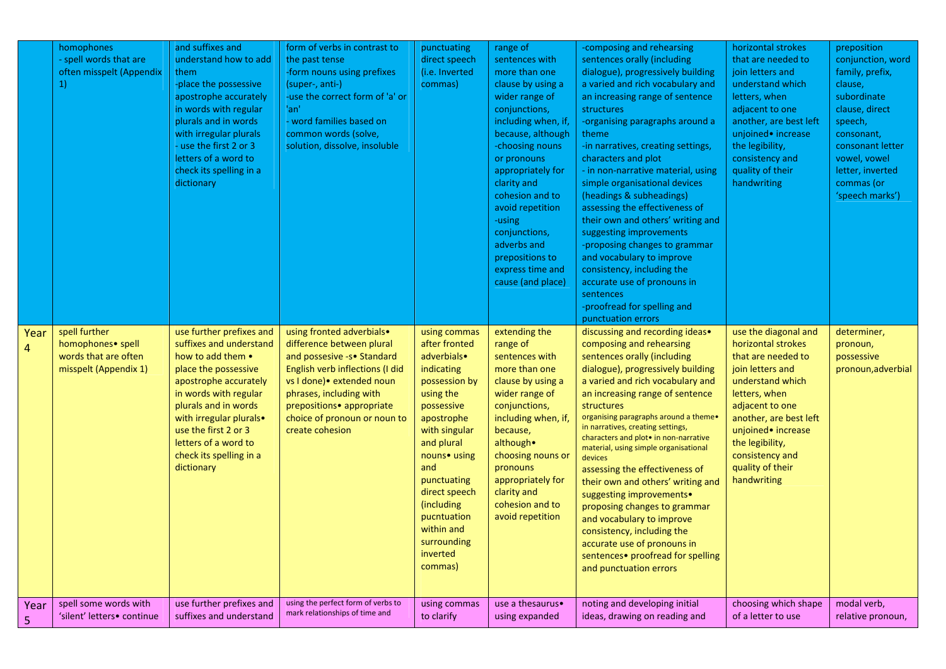|           | homophones<br>- spell words that are<br>often misspelt (Appendix<br>1)              | and suffixes and<br>understand how to add<br>them<br>-place the possessive<br>apostrophe accurately<br>in words with regular<br>plurals and in words<br>with irregular plurals<br>- use the first 2 or 3<br>letters of a word to<br>check its spelling in a<br>dictionary                      | form of verbs in contrast to<br>the past tense<br>-form nouns using prefixes<br>(super-, anti-)<br>-use the correct form of 'a' or<br>'an'<br>- word families based on<br>common words (solve,<br>solution, dissolve, insoluble                                  | punctuating<br>direct speech<br>(i.e. Inverted<br>commas)                                                                                                                                                                                                                                   | range of<br>sentences with<br>more than one<br>clause by using a<br>wider range of<br>conjunctions,<br>including when, if,<br>because, although<br>-choosing nouns<br>or pronouns<br>appropriately for<br>clarity and<br>cohesion and to<br>avoid repetition<br>-using<br>conjunctions,<br>adverbs and<br>prepositions to<br>express time and<br>cause (and place) | -composing and rehearsing<br>sentences orally (including<br>dialogue), progressively building<br>a varied and rich vocabulary and<br>an increasing range of sentence<br>structures<br>-organising paragraphs around a<br>theme<br>-in narratives, creating settings,<br>characters and plot<br>- in non-narrative material, using<br>simple organisational devices<br>(headings & subheadings)<br>assessing the effectiveness of<br>their own and others' writing and<br>suggesting improvements<br>-proposing changes to grammar<br>and vocabulary to improve<br>consistency, including the<br>accurate use of pronouns in<br>sentences<br>-proofread for spelling and<br>punctuation errors | horizontal strokes<br>that are needed to<br>join letters and<br>understand which<br>letters, when<br>adjacent to one<br>another, are best left<br>unjoined• increase<br>the legibility,<br>consistency and<br>quality of their<br>handwriting                         | preposition<br>conjunction, word<br>family, prefix,<br>clause,<br>subordinate<br>clause, direct<br>speech,<br>consonant,<br>consonant letter<br>vowel, vowel<br>letter, inverted<br>commas (or<br>'speech marks') |
|-----------|-------------------------------------------------------------------------------------|------------------------------------------------------------------------------------------------------------------------------------------------------------------------------------------------------------------------------------------------------------------------------------------------|------------------------------------------------------------------------------------------------------------------------------------------------------------------------------------------------------------------------------------------------------------------|---------------------------------------------------------------------------------------------------------------------------------------------------------------------------------------------------------------------------------------------------------------------------------------------|--------------------------------------------------------------------------------------------------------------------------------------------------------------------------------------------------------------------------------------------------------------------------------------------------------------------------------------------------------------------|-----------------------------------------------------------------------------------------------------------------------------------------------------------------------------------------------------------------------------------------------------------------------------------------------------------------------------------------------------------------------------------------------------------------------------------------------------------------------------------------------------------------------------------------------------------------------------------------------------------------------------------------------------------------------------------------------|-----------------------------------------------------------------------------------------------------------------------------------------------------------------------------------------------------------------------------------------------------------------------|-------------------------------------------------------------------------------------------------------------------------------------------------------------------------------------------------------------------|
| Year<br>4 | spell further<br>homophones• spell<br>words that are often<br>misspelt (Appendix 1) | use further prefixes and<br>suffixes and understand<br>how to add them •<br>place the possessive<br>apostrophe accurately<br>in words with regular<br>plurals and in words<br>with irregular plurals.<br>use the first 2 or 3<br>letters of a word to<br>check its spelling in a<br>dictionary | using fronted adverbials.<br>difference between plural<br>and possesive -s• Standard<br>English verb inflections (I did<br>vs I done) • extended noun<br>phrases, including with<br>prepositions• appropriate<br>choice of pronoun or noun to<br>create cohesion | using commas<br>after fronted<br>adverbials•<br>indicating<br>possession by<br>using the<br>possessive<br>apostrophe<br>with singular<br>and plural<br>nouns• using<br>and<br>punctuating<br>direct speech<br>(including<br>pucntuation<br>within and<br>surrounding<br>inverted<br>commas) | extending the<br>range of<br>sentences with<br>more than one<br>clause by using a<br>wider range of<br>conjunctions,<br>including when, if,<br>because,<br>although.<br>choosing nouns or<br>pronouns<br>appropriately for<br>clarity and<br>cohesion and to<br>avoid repetition                                                                                   | discussing and recording ideas.<br>composing and rehearsing<br>sentences orally (including<br>dialogue), progressively building<br>a varied and rich vocabulary and<br>an increasing range of sentence<br>structures<br>organising paragraphs around a theme.<br>in narratives, creating settings,<br>characters and ploto in non-narrative<br>material, using simple organisational<br>devices<br>assessing the effectiveness of<br>their own and others' writing and<br>suggesting improvements.<br>proposing changes to grammar<br>and vocabulary to improve<br>consistency, including the<br>accurate use of pronouns in<br>sentences• proofread for spelling<br>and punctuation errors   | use the diagonal and<br>horizontal strokes<br>that are needed to<br>join letters and<br>understand which<br>letters, when<br>adjacent to one<br>another, are best left<br>unjoined• increase<br>the legibility,<br>consistency and<br>quality of their<br>handwriting | determiner,<br>pronoun,<br>possessive<br>pronoun, adverbial                                                                                                                                                       |
| Year<br>5 | spell some words with<br>'silent' letters• continue                                 | use further prefixes and<br>suffixes and understand                                                                                                                                                                                                                                            | using the perfect form of verbs to<br>mark relationships of time and                                                                                                                                                                                             | using commas<br>to clarify                                                                                                                                                                                                                                                                  | use a thesaurus.<br>using expanded                                                                                                                                                                                                                                                                                                                                 | noting and developing initial<br>ideas, drawing on reading and                                                                                                                                                                                                                                                                                                                                                                                                                                                                                                                                                                                                                                | choosing which shape<br>of a letter to use                                                                                                                                                                                                                            | modal verb,<br>relative pronoun,                                                                                                                                                                                  |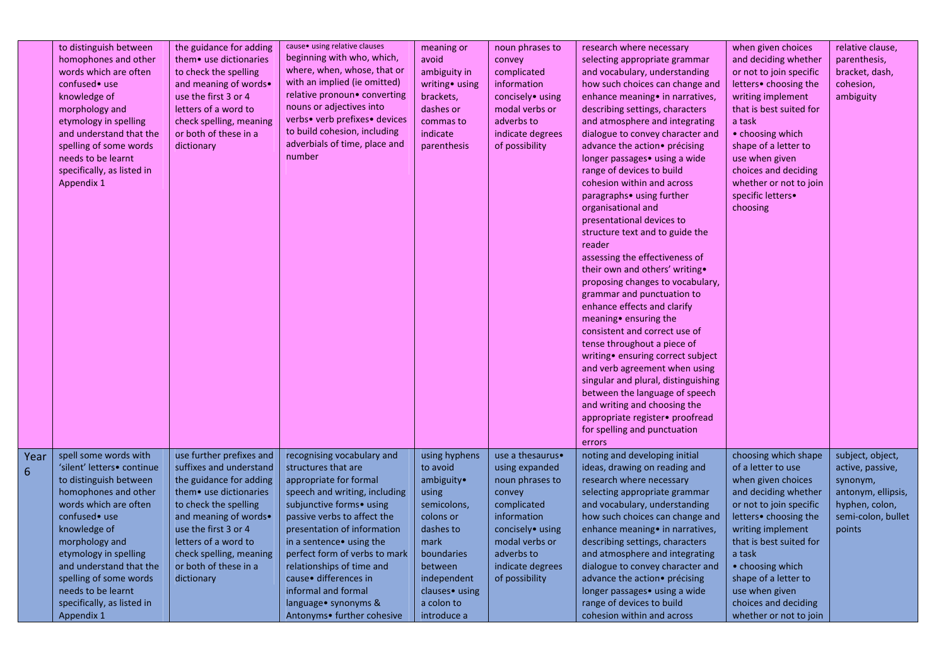|           | to distinguish between<br>homophones and other<br>words which are often<br>confused• use<br>knowledge of<br>morphology and<br>etymology in spelling<br>and understand that the<br>spelling of some words<br>needs to be learnt<br>specifically, as listed in<br>Appendix 1                                                        | the guidance for adding<br>them • use dictionaries<br>to check the spelling<br>and meaning of words.<br>use the first 3 or 4<br>letters of a word to<br>check spelling, meaning<br>or both of these in a<br>dictionary                                                       | cause • using relative clauses<br>beginning with who, which,<br>where, when, whose, that or<br>with an implied (ie omitted)<br>relative pronoun• converting<br>nouns or adjectives into<br>verbs• verb prefixes• devices<br>to build cohesion, including<br>adverbials of time, place and<br>number                                                                                                       | meaning or<br>avoid<br>ambiguity in<br>writing• using<br>brackets,<br>dashes or<br>commas to<br>indicate<br>parenthesis                                                                  | noun phrases to<br>convey<br>complicated<br>information<br>concisely• using<br>modal verbs or<br>adverbs to<br>indicate degrees<br>of possibility                                       | research where necessary<br>selecting appropriate grammar<br>and vocabulary, understanding<br>how such choices can change and<br>enhance meaning • in narratives,<br>describing settings, characters<br>and atmosphere and integrating<br>dialogue to convey character and<br>advance the action• précising<br>longer passages • using a wide<br>range of devices to build<br>cohesion within and across<br>paragraphs• using further<br>organisational and<br>presentational devices to<br>structure text and to guide the<br>reader<br>assessing the effectiveness of<br>their own and others' writing.<br>proposing changes to vocabulary,<br>grammar and punctuation to<br>enhance effects and clarify<br>meaning • ensuring the<br>consistent and correct use of<br>tense throughout a piece of<br>writing • ensuring correct subject<br>and verb agreement when using<br>singular and plural, distinguishing<br>between the language of speech<br>and writing and choosing the<br>appropriate register• proofread<br>for spelling and punctuation<br>errors | when given choices<br>and deciding whether<br>or not to join specific<br>letters• choosing the<br>writing implement<br>that is best suited for<br>a task<br>• choosing which<br>shape of a letter to<br>use when given<br>choices and deciding<br>whether or not to join<br>specific letters.<br>choosing              | relative clause,<br>parenthesis,<br>bracket, dash,<br>cohesion,<br>ambiguity                                             |  |
|-----------|-----------------------------------------------------------------------------------------------------------------------------------------------------------------------------------------------------------------------------------------------------------------------------------------------------------------------------------|------------------------------------------------------------------------------------------------------------------------------------------------------------------------------------------------------------------------------------------------------------------------------|-----------------------------------------------------------------------------------------------------------------------------------------------------------------------------------------------------------------------------------------------------------------------------------------------------------------------------------------------------------------------------------------------------------|------------------------------------------------------------------------------------------------------------------------------------------------------------------------------------------|-----------------------------------------------------------------------------------------------------------------------------------------------------------------------------------------|-------------------------------------------------------------------------------------------------------------------------------------------------------------------------------------------------------------------------------------------------------------------------------------------------------------------------------------------------------------------------------------------------------------------------------------------------------------------------------------------------------------------------------------------------------------------------------------------------------------------------------------------------------------------------------------------------------------------------------------------------------------------------------------------------------------------------------------------------------------------------------------------------------------------------------------------------------------------------------------------------------------------------------------------------------------------|------------------------------------------------------------------------------------------------------------------------------------------------------------------------------------------------------------------------------------------------------------------------------------------------------------------------|--------------------------------------------------------------------------------------------------------------------------|--|
| Year<br>6 | spell some words with<br>'silent' letters• continue<br>to distinguish between<br>homophones and other<br>words which are often<br>confused• use<br>knowledge of<br>morphology and<br>etymology in spelling<br>and understand that the<br>spelling of some words<br>needs to be learnt<br>specifically, as listed in<br>Appendix 1 | use further prefixes and<br>suffixes and understand<br>the guidance for adding<br>them. use dictionaries<br>to check the spelling<br>and meaning of words.<br>use the first 3 or 4<br>letters of a word to<br>check spelling, meaning<br>or both of these in a<br>dictionary | recognising vocabulary and<br>structures that are<br>appropriate for formal<br>speech and writing, including<br>subjunctive forms• using<br>passive verbs to affect the<br>presentation of information<br>in a sentence • using the<br>perfect form of verbs to mark<br>relationships of time and<br>cause · differences in<br>informal and formal<br>language • synonyms &<br>Antonyms• further cohesive | using hyphens<br>to avoid<br>ambiguity•<br>using<br>semicolons,<br>colons or<br>dashes to<br>mark<br>boundaries<br>between<br>independent<br>clauses• using<br>a colon to<br>introduce a | use a thesaurus.<br>using expanded<br>noun phrases to<br>convey<br>complicated<br>information<br>concisely• using<br>modal verbs or<br>adverbs to<br>indicate degrees<br>of possibility | noting and developing initial<br>ideas, drawing on reading and<br>research where necessary<br>selecting appropriate grammar<br>and vocabulary, understanding<br>how such choices can change and<br>enhance meaning • in narratives,<br>describing settings, characters<br>and atmosphere and integrating<br>dialogue to convey character and<br>advance the action• précising<br>longer passages • using a wide<br>range of devices to build<br>cohesion within and across                                                                                                                                                                                                                                                                                                                                                                                                                                                                                                                                                                                        | choosing which shape<br>of a letter to use<br>when given choices<br>and deciding whether<br>or not to join specific<br>letters• choosing the<br>writing implement<br>that is best suited for<br>a task<br>• choosing which<br>shape of a letter to<br>use when given<br>choices and deciding<br>whether or not to join | subject, object,<br>active, passive,<br>synonym,<br>antonym, ellipsis,<br>hyphen, colon,<br>semi-colon, bullet<br>points |  |